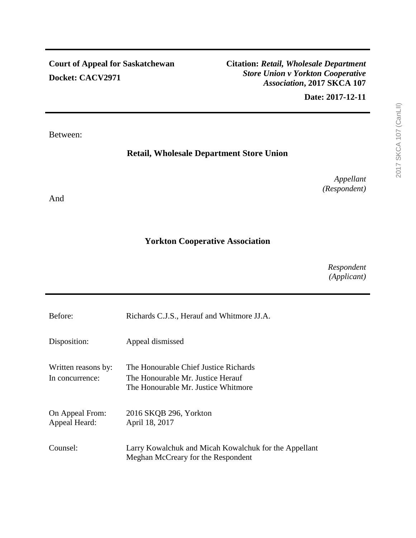**Citation:** *Retail, Wholesale Department Store Union v Yorkton Cooperative Association***, 2017 SKCA 107**

**Date: 2017-12-11**

Between:

# **Retail, Wholesale Department Store Union**

*Appellant (Respondent)*

And

# **Yorkton Cooperative Association**

*Respondent (Applicant)*

| Before:                                | Richards C.J.S., Herauf and Whitmore JJ.A.                                                                        |
|----------------------------------------|-------------------------------------------------------------------------------------------------------------------|
| Disposition:                           | Appeal dismissed                                                                                                  |
| Written reasons by:<br>In concurrence: | The Honourable Chief Justice Richards<br>The Honourable Mr. Justice Herauf<br>The Honourable Mr. Justice Whitmore |
| On Appeal From:<br>Appeal Heard:       | 2016 SKQB 296, Yorkton<br>April 18, 2017                                                                          |
| Counsel:                               | Larry Kowalchuk and Micah Kowalchuk for the Appellant<br>Meghan McCreary for the Respondent                       |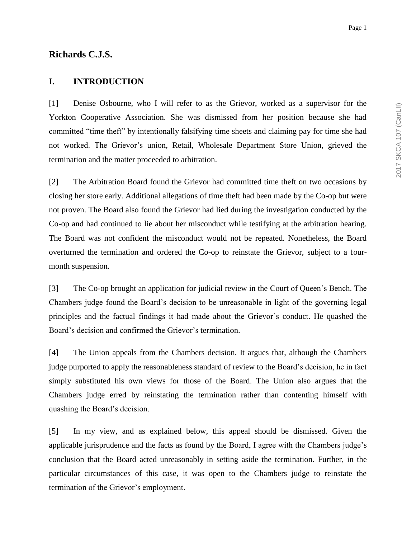## **Richards C.J.S.**

### **I. INTRODUCTION**

[1] Denise Osbourne, who I will refer to as the Grievor, worked as a supervisor for the Yorkton Cooperative Association. She was dismissed from her position because she had committed "time theft" by intentionally falsifying time sheets and claiming pay for time she had not worked. The Grievor's union, Retail, Wholesale Department Store Union, grieved the termination and the matter proceeded to arbitration.

[2] The Arbitration Board found the Grievor had committed time theft on two occasions by closing her store early. Additional allegations of time theft had been made by the Co-op but were not proven. The Board also found the Grievor had lied during the investigation conducted by the Co-op and had continued to lie about her misconduct while testifying at the arbitration hearing. The Board was not confident the misconduct would not be repeated. Nonetheless, the Board overturned the termination and ordered the Co-op to reinstate the Grievor, subject to a fourmonth suspension.

[3] The Co-op brought an application for judicial review in the Court of Queen's Bench. The Chambers judge found the Board's decision to be unreasonable in light of the governing legal principles and the factual findings it had made about the Grievor's conduct. He quashed the Board's decision and confirmed the Grievor's termination.

[4] The Union appeals from the Chambers decision. It argues that, although the Chambers judge purported to apply the reasonableness standard of review to the Board's decision, he in fact simply substituted his own views for those of the Board. The Union also argues that the Chambers judge erred by reinstating the termination rather than contenting himself with quashing the Board's decision.

[5] In my view, and as explained below, this appeal should be dismissed. Given the applicable jurisprudence and the facts as found by the Board, I agree with the Chambers judge's conclusion that the Board acted unreasonably in setting aside the termination. Further, in the particular circumstances of this case, it was open to the Chambers judge to reinstate the termination of the Grievor's employment.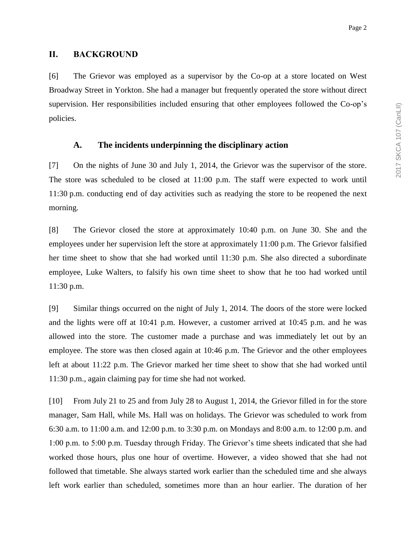### **II. BACKGROUND**

[6] The Grievor was employed as a supervisor by the Co-op at a store located on West Broadway Street in Yorkton. She had a manager but frequently operated the store without direct supervision. Her responsibilities included ensuring that other employees followed the Co-op's policies.

### **A. The incidents underpinning the disciplinary action**

[7] On the nights of June 30 and July 1, 2014, the Grievor was the supervisor of the store. The store was scheduled to be closed at 11:00 p.m. The staff were expected to work until 11:30 p.m. conducting end of day activities such as readying the store to be reopened the next morning.

[8] The Grievor closed the store at approximately 10:40 p.m. on June 30. She and the employees under her supervision left the store at approximately 11:00 p.m. The Grievor falsified her time sheet to show that she had worked until 11:30 p.m. She also directed a subordinate employee, Luke Walters, to falsify his own time sheet to show that he too had worked until 11:30 p.m.

[9] Similar things occurred on the night of July 1, 2014. The doors of the store were locked and the lights were off at 10:41 p.m. However, a customer arrived at 10:45 p.m. and he was allowed into the store. The customer made a purchase and was immediately let out by an employee. The store was then closed again at 10:46 p.m. The Grievor and the other employees left at about 11:22 p.m. The Grievor marked her time sheet to show that she had worked until 11:30 p.m., again claiming pay for time she had not worked.

[10] From July 21 to 25 and from July 28 to August 1, 2014, the Grievor filled in for the store manager, Sam Hall, while Ms. Hall was on holidays. The Grievor was scheduled to work from 6:30 a.m. to 11:00 a.m. and 12:00 p.m. to 3:30 p.m. on Mondays and 8:00 a.m. to 12:00 p.m. and 1:00 p.m. to 5:00 p.m. Tuesday through Friday. The Grievor's time sheets indicated that she had worked those hours, plus one hour of overtime. However, a video showed that she had not followed that timetable. She always started work earlier than the scheduled time and she always left work earlier than scheduled, sometimes more than an hour earlier. The duration of her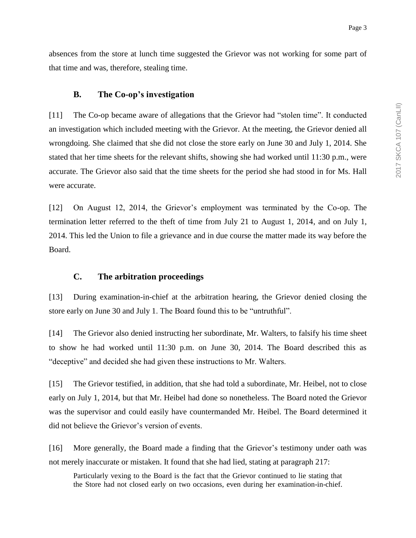absences from the store at lunch time suggested the Grievor was not working for some part of that time and was, therefore, stealing time.

#### **B. The Co-op's investigation**

[11] The Co-op became aware of allegations that the Grievor had "stolen time". It conducted an investigation which included meeting with the Grievor. At the meeting, the Grievor denied all wrongdoing. She claimed that she did not close the store early on June 30 and July 1, 2014. She stated that her time sheets for the relevant shifts, showing she had worked until 11:30 p.m., were accurate. The Grievor also said that the time sheets for the period she had stood in for Ms. Hall were accurate.

[12] On August 12, 2014, the Grievor's employment was terminated by the Co-op. The termination letter referred to the theft of time from July 21 to August 1, 2014, and on July 1, 2014. This led the Union to file a grievance and in due course the matter made its way before the Board.

#### **C. The arbitration proceedings**

[13] During examination-in-chief at the arbitration hearing, the Grievor denied closing the store early on June 30 and July 1. The Board found this to be "untruthful".

[14] The Grievor also denied instructing her subordinate, Mr. Walters, to falsify his time sheet to show he had worked until 11:30 p.m. on June 30, 2014. The Board described this as "deceptive" and decided she had given these instructions to Mr. Walters.

[15] The Grievor testified, in addition, that she had told a subordinate, Mr. Heibel, not to close early on July 1, 2014, but that Mr. Heibel had done so nonetheless. The Board noted the Grievor was the supervisor and could easily have countermanded Mr. Heibel. The Board determined it did not believe the Grievor's version of events.

[16] More generally, the Board made a finding that the Grievor's testimony under oath was not merely inaccurate or mistaken. It found that she had lied, stating at paragraph 217:

Particularly vexing to the Board is the fact that the Grievor continued to lie stating that the Store had not closed early on two occasions, even during her examination-in-chief.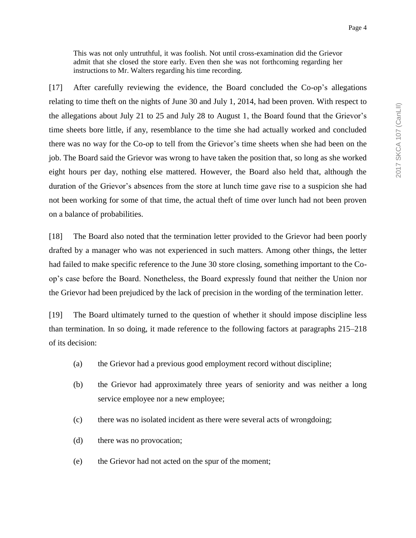This was not only untruthful, it was foolish. Not until cross-examination did the Grievor admit that she closed the store early. Even then she was not forthcoming regarding her instructions to Mr. Walters regarding his time recording.

[17] After carefully reviewing the evidence, the Board concluded the Co-op's allegations relating to time theft on the nights of June 30 and July 1, 2014, had been proven. With respect to the allegations about July 21 to 25 and July 28 to August 1, the Board found that the Grievor's time sheets bore little, if any, resemblance to the time she had actually worked and concluded there was no way for the Co-op to tell from the Grievor's time sheets when she had been on the job. The Board said the Grievor was wrong to have taken the position that, so long as she worked eight hours per day, nothing else mattered. However, the Board also held that, although the duration of the Grievor's absences from the store at lunch time gave rise to a suspicion she had not been working for some of that time, the actual theft of time over lunch had not been proven on a balance of probabilities.

[18] The Board also noted that the termination letter provided to the Grievor had been poorly drafted by a manager who was not experienced in such matters. Among other things, the letter had failed to make specific reference to the June 30 store closing, something important to the Coop's case before the Board. Nonetheless, the Board expressly found that neither the Union nor the Grievor had been prejudiced by the lack of precision in the wording of the termination letter.

[19] The Board ultimately turned to the question of whether it should impose discipline less than termination. In so doing, it made reference to the following factors at paragraphs 215–218 of its decision:

- (a) the Grievor had a previous good employment record without discipline;
- (b) the Grievor had approximately three years of seniority and was neither a long service employee nor a new employee;
- (c) there was no isolated incident as there were several acts of wrongdoing;
- (d) there was no provocation;
- (e) the Grievor had not acted on the spur of the moment;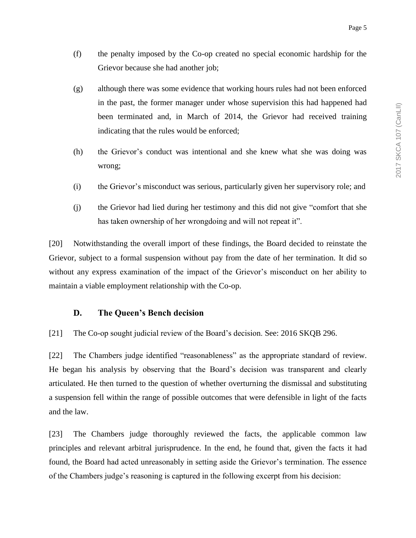- (f) the penalty imposed by the Co-op created no special economic hardship for the Grievor because she had another job;
- (g) although there was some evidence that working hours rules had not been enforced in the past, the former manager under whose supervision this had happened had been terminated and, in March of 2014, the Grievor had received training indicating that the rules would be enforced;
- (h) the Grievor's conduct was intentional and she knew what she was doing was wrong;
- (i) the Grievor's misconduct was serious, particularly given her supervisory role; and
- (j) the Grievor had lied during her testimony and this did not give "comfort that she has taken ownership of her wrongdoing and will not repeat it".

[20] Notwithstanding the overall import of these findings, the Board decided to reinstate the Grievor, subject to a formal suspension without pay from the date of her termination. It did so without any express examination of the impact of the Grievor's misconduct on her ability to maintain a viable employment relationship with the Co-op.

## **D. The Queen's Bench decision**

[21] The Co-op sought judicial review of the Board's decision. See: 2016 SKQB 296.

[22] The Chambers judge identified "reasonableness" as the appropriate standard of review. He began his analysis by observing that the Board's decision was transparent and clearly articulated. He then turned to the question of whether overturning the dismissal and substituting a suspension fell within the range of possible outcomes that were defensible in light of the facts and the law.

[23] The Chambers judge thoroughly reviewed the facts, the applicable common law principles and relevant arbitral jurisprudence. In the end, he found that, given the facts it had found, the Board had acted unreasonably in setting aside the Grievor's termination. The essence of the Chambers judge's reasoning is captured in the following excerpt from his decision: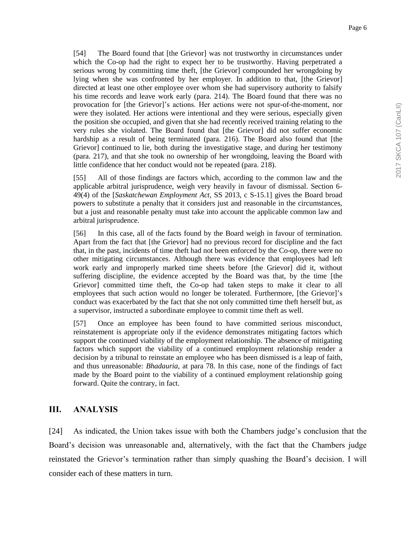[54] The Board found that [the Grievor] was not trustworthy in circumstances under which the Co-op had the right to expect her to be trustworthy. Having perpetrated a serious wrong by committing time theft, [the Grievor] compounded her wrongdoing by lying when she was confronted by her employer. In addition to that, [the Grievor] directed at least one other employee over whom she had supervisory authority to falsify his time records and leave work early (para. 214). The Board found that there was no provocation for [the Grievor]'s actions. Her actions were not spur-of-the-moment, nor were they isolated. Her actions were intentional and they were serious, especially given the position she occupied, and given that she had recently received training relating to the very rules she violated. The Board found that [the Grievor] did not suffer economic hardship as a result of being terminated (para. 216). The Board also found that [the Grievor] continued to lie, both during the investigative stage, and during her testimony (para. 217), and that she took no ownership of her wrongdoing, leaving the Board with little confidence that her conduct would not be repeated (para. 218).

[55] All of those findings are factors which, according to the common law and the applicable arbitral jurisprudence, weigh very heavily in favour of dismissal. Section 6- 49(4) of the [*Saskatchewan Employment Act*, SS 2013, c S-15.1] gives the Board broad powers to substitute a penalty that it considers just and reasonable in the circumstances, but a just and reasonable penalty must take into account the applicable common law and arbitral jurisprudence.

[56] In this case, all of the facts found by the Board weigh in favour of termination. Apart from the fact that [the Grievor] had no previous record for discipline and the fact that, in the past, incidents of time theft had not been enforced by the Co-op, there were no other mitigating circumstances. Although there was evidence that employees had left work early and improperly marked time sheets before [the Grievor] did it, without suffering discipline, the evidence accepted by the Board was that, by the time [the Grievor] committed time theft, the Co-op had taken steps to make it clear to all employees that such action would no longer be tolerated. Furthermore, [the Grievor]'s conduct was exacerbated by the fact that she not only committed time theft herself but, as a supervisor, instructed a subordinate employee to commit time theft as well.

[57] Once an employee has been found to have committed serious misconduct, reinstatement is appropriate only if the evidence demonstrates mitigating factors which support the continued viability of the employment relationship. The absence of mitigating factors which support the viability of a continued employment relationship render a decision by a tribunal to reinstate an employee who has been dismissed is a leap of faith, and thus unreasonable: *Bhadauria*, at para 78. In this case, none of the findings of fact made by the Board point to the viability of a continued employment relationship going forward. Quite the contrary, in fact.

## **III. ANALYSIS**

[24] As indicated, the Union takes issue with both the Chambers judge's conclusion that the Board's decision was unreasonable and, alternatively, with the fact that the Chambers judge reinstated the Grievor's termination rather than simply quashing the Board's decision. I will consider each of these matters in turn.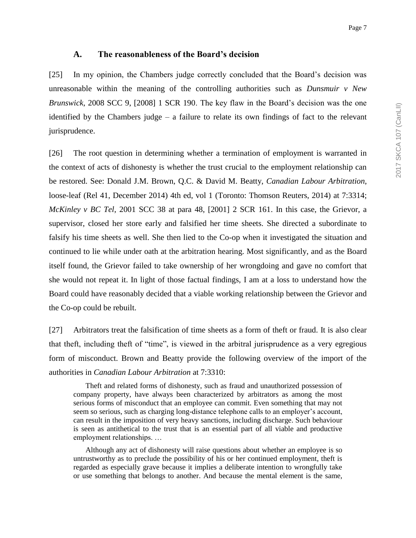#### **A. The reasonableness of the Board's decision**

[25] In my opinion, the Chambers judge correctly concluded that the Board's decision was unreasonable within the meaning of the controlling authorities such as *Dunsmuir v New Brunswick*, 2008 SCC 9, [2008] 1 SCR 190. The key flaw in the Board's decision was the one identified by the Chambers judge  $-$  a failure to relate its own findings of fact to the relevant jurisprudence.

[26] The root question in determining whether a termination of employment is warranted in the context of acts of dishonesty is whether the trust crucial to the employment relationship can be restored. See: Donald J.M. Brown, Q.C. & David M. Beatty, *Canadian Labour Arbitration*, loose-leaf (Rel 41, December 2014) 4th ed, vol 1 (Toronto: Thomson Reuters, 2014) at 7:3314; *McKinley v BC Tel*, 2001 SCC 38 at para 48, [2001] 2 SCR 161. In this case, the Grievor, a supervisor, closed her store early and falsified her time sheets. She directed a subordinate to falsify his time sheets as well. She then lied to the Co-op when it investigated the situation and continued to lie while under oath at the arbitration hearing. Most significantly, and as the Board itself found, the Grievor failed to take ownership of her wrongdoing and gave no comfort that she would not repeat it. In light of those factual findings, I am at a loss to understand how the Board could have reasonably decided that a viable working relationship between the Grievor and the Co-op could be rebuilt.

[27] Arbitrators treat the falsification of time sheets as a form of theft or fraud. It is also clear that theft, including theft of "time", is viewed in the arbitral jurisprudence as a very egregious form of misconduct. Brown and Beatty provide the following overview of the import of the authorities in *Canadian Labour Arbitration* at 7:3310:

Theft and related forms of dishonesty, such as fraud and unauthorized possession of company property, have always been characterized by arbitrators as among the most serious forms of misconduct that an employee can commit. Even something that may not seem so serious, such as charging long-distance telephone calls to an employer's account, can result in the imposition of very heavy sanctions, including discharge. Such behaviour is seen as antithetical to the trust that is an essential part of all viable and productive employment relationships. …

Although any act of dishonesty will raise questions about whether an employee is so untrustworthy as to preclude the possibility of his or her continued employment, theft is regarded as especially grave because it implies a deliberate intention to wrongfully take or use something that belongs to another. And because the mental element is the same,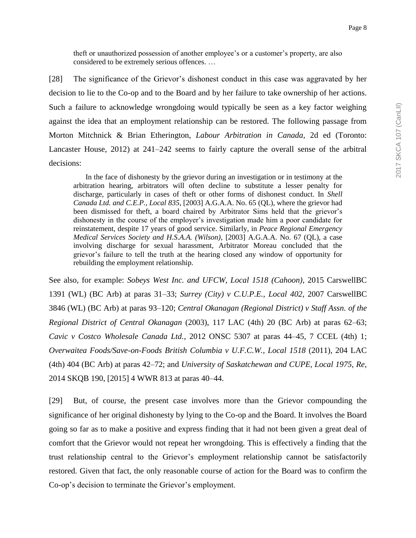theft or unauthorized possession of another employee's or a customer's property, are also considered to be extremely serious offences. …

[28] The significance of the Grievor's dishonest conduct in this case was aggravated by her decision to lie to the Co-op and to the Board and by her failure to take ownership of her actions. Such a failure to acknowledge wrongdoing would typically be seen as a key factor weighing against the idea that an employment relationship can be restored. The following passage from Morton Mitchnick & Brian Etherington, *Labour Arbitration in Canada*, 2d ed (Toronto: Lancaster House, 2012) at 241–242 seems to fairly capture the overall sense of the arbitral decisions:

In the face of dishonesty by the grievor during an investigation or in testimony at the arbitration hearing, arbitrators will often decline to substitute a lesser penalty for discharge, particularly in cases of theft or other forms of dishonest conduct. In *Shell Canada Ltd. and C.E.P., Local 835*, [2003] A.G.A.A. No. 65 (QL), where the grievor had been dismissed for theft, a board chaired by Arbitrator Sims held that the grievor's dishonesty in the course of the employer's investigation made him a poor candidate for reinstatement, despite 17 years of good service. Similarly, in *Peace Regional Emergency Medical Services Society and H.S.A.A. (Wilson)*, [2003] A.G.A.A. No. 67 (QL), a case involving discharge for sexual harassment, Arbitrator Moreau concluded that the grievor's failure to tell the truth at the hearing closed any window of opportunity for rebuilding the employment relationship.

See also, for example: *Sobeys West Inc. and UFCW, Local 1518 (Cahoon)*, 2015 CarswellBC 1391 (WL) (BC Arb) at paras 31–33; *Surrey (City) v C.U.P.E., Local 402*, 2007 CarswellBC 3846 (WL) (BC Arb) at paras 93–120; *Central Okanagan (Regional District) v Staff Assn. of the Regional District of Central Okanagan* (2003), 117 LAC (4th) 20 (BC Arb) at paras 62–63; *Cavic v Costco Wholesale Canada Ltd.*, 2012 ONSC 5307 at paras 44–45, 7 CCEL (4th) 1; *Overwaitea Foods/Save-on-Foods British Columbia v U.F.C.W., Local 1518* (2011), 204 LAC (4th) 404 (BC Arb) at paras 42–72; and *University of Saskatchewan and CUPE, Local 1975, Re*, 2014 SKQB 190, [2015] 4 WWR 813 at paras 40–44.

[29] But, of course, the present case involves more than the Grievor compounding the significance of her original dishonesty by lying to the Co-op and the Board. It involves the Board going so far as to make a positive and express finding that it had not been given a great deal of comfort that the Grievor would not repeat her wrongdoing. This is effectively a finding that the trust relationship central to the Grievor's employment relationship cannot be satisfactorily restored. Given that fact, the only reasonable course of action for the Board was to confirm the Co-op's decision to terminate the Grievor's employment.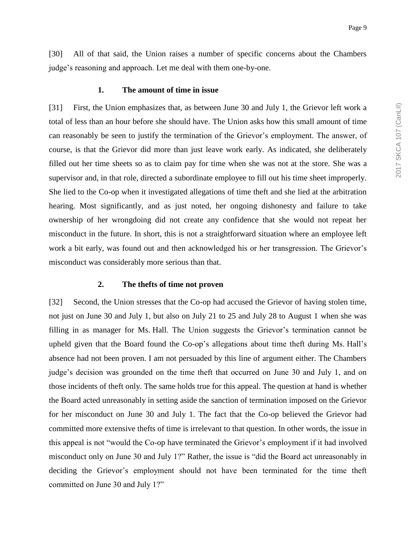[30] All of that said, the Union raises a number of specific concerns about the Chambers judge's reasoning and approach. Let me deal with them one-by-one.

#### **1. The amount of time in issue**

[31] First, the Union emphasizes that, as between June 30 and July 1, the Grievor left work a total of less than an hour before she should have. The Union asks how this small amount of time can reasonably be seen to justify the termination of the Grievor's employment. The answer, of course, is that the Grievor did more than just leave work early. As indicated, she deliberately filled out her time sheets so as to claim pay for time when she was not at the store. She was a supervisor and, in that role, directed a subordinate employee to fill out his time sheet improperly. She lied to the Co-op when it investigated allegations of time theft and she lied at the arbitration hearing. Most significantly, and as just noted, her ongoing dishonesty and failure to take ownership of her wrongdoing did not create any confidence that she would not repeat her misconduct in the future. In short, this is not a straightforward situation where an employee left work a bit early, was found out and then acknowledged his or her transgression. The Grievor's misconduct was considerably more serious than that.

#### **2. The thefts of time not proven**

[32] Second, the Union stresses that the Co-op had accused the Grievor of having stolen time, not just on June 30 and July 1, but also on July 21 to 25 and July 28 to August 1 when she was filling in as manager for Ms. Hall. The Union suggests the Grievor's termination cannot be upheld given that the Board found the Co-op's allegations about time theft during Ms. Hall's absence had not been proven. I am not persuaded by this line of argument either. The Chambers judge's decision was grounded on the time theft that occurred on June 30 and July 1, and on those incidents of theft only. The same holds true for this appeal. The question at hand is whether the Board acted unreasonably in setting aside the sanction of termination imposed on the Grievor for her misconduct on June 30 and July 1. The fact that the Co-op believed the Grievor had committed more extensive thefts of time is irrelevant to that question. In other words, the issue in this appeal is not "would the Co-op have terminated the Grievor's employment if it had involved misconduct only on June 30 and July 1?" Rather, the issue is "did the Board act unreasonably in deciding the Grievor's employment should not have been terminated for the time theft committed on June 30 and July 1?"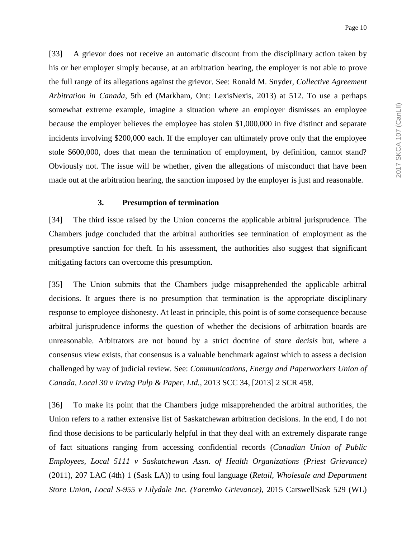[33] A grievor does not receive an automatic discount from the disciplinary action taken by his or her employer simply because, at an arbitration hearing, the employer is not able to prove the full range of its allegations against the grievor. See: Ronald M. Snyder, *Collective Agreement Arbitration in Canada*, 5th ed (Markham, Ont: LexisNexis, 2013) at 512. To use a perhaps somewhat extreme example, imagine a situation where an employer dismisses an employee because the employer believes the employee has stolen \$1,000,000 in five distinct and separate incidents involving \$200,000 each. If the employer can ultimately prove only that the employee stole \$600,000, does that mean the termination of employment, by definition, cannot stand? Obviously not. The issue will be whether, given the allegations of misconduct that have been made out at the arbitration hearing, the sanction imposed by the employer is just and reasonable.

#### **3. Presumption of termination**

[34] The third issue raised by the Union concerns the applicable arbitral jurisprudence. The Chambers judge concluded that the arbitral authorities see termination of employment as the presumptive sanction for theft. In his assessment, the authorities also suggest that significant mitigating factors can overcome this presumption.

[35] The Union submits that the Chambers judge misapprehended the applicable arbitral decisions. It argues there is no presumption that termination is the appropriate disciplinary response to employee dishonesty. At least in principle, this point is of some consequence because arbitral jurisprudence informs the question of whether the decisions of arbitration boards are unreasonable. Arbitrators are not bound by a strict doctrine of *stare decisis* but, where a consensus view exists, that consensus is a valuable benchmark against which to assess a decision challenged by way of judicial review. See: *Communications, Energy and Paperworkers Union of Canada, Local 30 v Irving Pulp & Paper, Ltd.*, 2013 SCC 34, [2013] 2 SCR 458.

[36] To make its point that the Chambers judge misapprehended the arbitral authorities, the Union refers to a rather extensive list of Saskatchewan arbitration decisions. In the end, I do not find those decisions to be particularly helpful in that they deal with an extremely disparate range of fact situations ranging from accessing confidential records (*Canadian Union of Public Employees, Local 5111 v Saskatchewan Assn. of Health Organizations (Priest Grievance)* (2011), 207 LAC (4th) 1 (Sask LA)) to using foul language (*Retail, Wholesale and Department Store Union, Local S-955 v Lilydale Inc. (Yaremko Grievance)*, 2015 CarswellSask 529 (WL)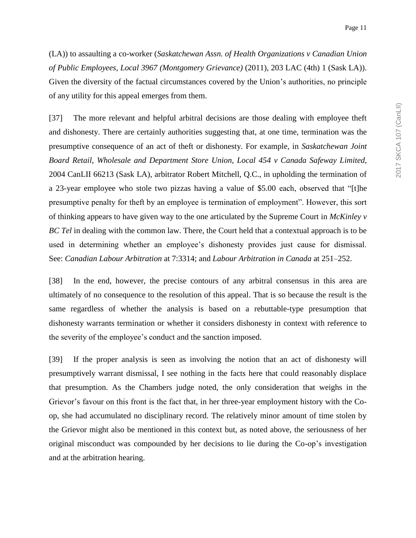(LA)) to assaulting a co-worker (*Saskatchewan Assn. of Health Organizations v Canadian Union of Public Employees, Local 3967 (Montgomery Grievance)* (2011), 203 LAC (4th) 1 (Sask LA)). Given the diversity of the factual circumstances covered by the Union's authorities, no principle of any utility for this appeal emerges from them.

[37] The more relevant and helpful arbitral decisions are those dealing with employee theft and dishonesty. There are certainly authorities suggesting that, at one time, termination was the presumptive consequence of an act of theft or dishonesty. For example, in *Saskatchewan Joint Board Retail, Wholesale and Department Store Union, Local 454 v Canada Safeway Limited*, 2004 CanLII 66213 (Sask LA), arbitrator Robert Mitchell, Q.C., in upholding the termination of a 23-year employee who stole two pizzas having a value of \$5.00 each, observed that "[t]he presumptive penalty for theft by an employee is termination of employment". However, this sort of thinking appears to have given way to the one articulated by the Supreme Court in *McKinley v BC Tel* in dealing with the common law. There, the Court held that a contextual approach is to be used in determining whether an employee's dishonesty provides just cause for dismissal. See: *Canadian Labour Arbitration* at 7:3314; and *Labour Arbitration in Canada* at 251–252.

[38] In the end, however, the precise contours of any arbitral consensus in this area are ultimately of no consequence to the resolution of this appeal. That is so because the result is the same regardless of whether the analysis is based on a rebuttable-type presumption that dishonesty warrants termination or whether it considers dishonesty in context with reference to the severity of the employee's conduct and the sanction imposed.

[39] If the proper analysis is seen as involving the notion that an act of dishonesty will presumptively warrant dismissal, I see nothing in the facts here that could reasonably displace that presumption. As the Chambers judge noted, the only consideration that weighs in the Grievor's favour on this front is the fact that, in her three-year employment history with the Coop, she had accumulated no disciplinary record. The relatively minor amount of time stolen by the Grievor might also be mentioned in this context but, as noted above, the seriousness of her original misconduct was compounded by her decisions to lie during the Co-op's investigation and at the arbitration hearing.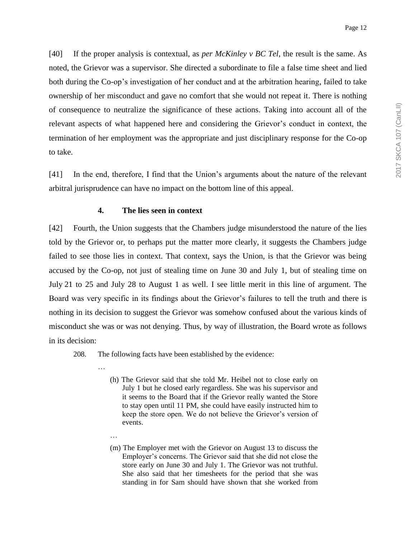[40] If the proper analysis is contextual, as *per McKinley v BC Tel*, the result is the same. As noted, the Grievor was a supervisor. She directed a subordinate to file a false time sheet and lied both during the Co-op's investigation of her conduct and at the arbitration hearing, failed to take ownership of her misconduct and gave no comfort that she would not repeat it. There is nothing of consequence to neutralize the significance of these actions. Taking into account all of the relevant aspects of what happened here and considering the Grievor's conduct in context, the termination of her employment was the appropriate and just disciplinary response for the Co-op to take.

[41] In the end, therefore, I find that the Union's arguments about the nature of the relevant arbitral jurisprudence can have no impact on the bottom line of this appeal.

#### **4. The lies seen in context**

[42] Fourth, the Union suggests that the Chambers judge misunderstood the nature of the lies told by the Grievor or, to perhaps put the matter more clearly, it suggests the Chambers judge failed to see those lies in context. That context, says the Union, is that the Grievor was being accused by the Co-op, not just of stealing time on June 30 and July 1, but of stealing time on July 21 to 25 and July 28 to August 1 as well. I see little merit in this line of argument. The Board was very specific in its findings about the Grievor's failures to tell the truth and there is nothing in its decision to suggest the Grievor was somehow confused about the various kinds of misconduct she was or was not denying. Thus, by way of illustration, the Board wrote as follows in its decision:

208. The following facts have been established by the evidence:

…

…

- (h) The Grievor said that she told Mr. Heibel not to close early on July 1 but he closed early regardless. She was his supervisor and it seems to the Board that if the Grievor really wanted the Store to stay open until 11 PM, she could have easily instructed him to keep the store open. We do not believe the Grievor's version of events.
- (m) The Employer met with the Grievor on August 13 to discuss the Employer's concerns. The Grievor said that she did not close the store early on June 30 and July 1. The Grievor was not truthful. She also said that her timesheets for the period that she was standing in for Sam should have shown that she worked from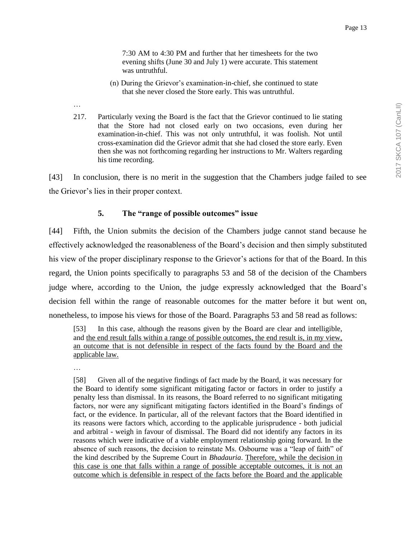7:30 AM to 4:30 PM and further that her timesheets for the two evening shifts (June 30 and July 1) were accurate. This statement

- (n) During the Grievor's examination-in-chief, she continued to state that she never closed the Store early. This was untruthful.
- 217. Particularly vexing the Board is the fact that the Grievor continued to lie stating that the Store had not closed early on two occasions, even during her examination-in-chief. This was not only untruthful, it was foolish. Not until cross-examination did the Grievor admit that she had closed the store early. Even then she was not forthcoming regarding her instructions to Mr. Walters regarding his time recording.

[43] In conclusion, there is no merit in the suggestion that the Chambers judge failed to see the Grievor's lies in their proper context.

### **5. The "range of possible outcomes" issue**

was untruthful.

[44] Fifth, the Union submits the decision of the Chambers judge cannot stand because he effectively acknowledged the reasonableness of the Board's decision and then simply substituted his view of the proper disciplinary response to the Grievor's actions for that of the Board. In this regard, the Union points specifically to paragraphs 53 and 58 of the decision of the Chambers judge where, according to the Union, the judge expressly acknowledged that the Board's decision fell within the range of reasonable outcomes for the matter before it but went on, nonetheless, to impose his views for those of the Board. Paragraphs 53 and 58 read as follows:

[53] In this case, although the reasons given by the Board are clear and intelligible, and the end result falls within a range of possible outcomes, the end result is, in my view, an outcome that is not defensible in respect of the facts found by the Board and the applicable law.

…

…

[58] Given all of the negative findings of fact made by the Board, it was necessary for the Board to identify some significant mitigating factor or factors in order to justify a penalty less than dismissal. In its reasons, the Board referred to no significant mitigating factors, nor were any significant mitigating factors identified in the Board's findings of fact, or the evidence. In particular, all of the relevant factors that the Board identified in its reasons were factors which, according to the applicable jurisprudence - both judicial and arbitral - weigh in favour of dismissal. The Board did not identify any factors in its reasons which were indicative of a viable employment relationship going forward. In the absence of such reasons, the decision to reinstate Ms. Osbourne was a "leap of faith" of the kind described by the Supreme Court in *Bhadauria*. Therefore, while the decision in this case is one that falls within a range of possible acceptable outcomes, it is not an outcome which is defensible in respect of the facts before the Board and the applicable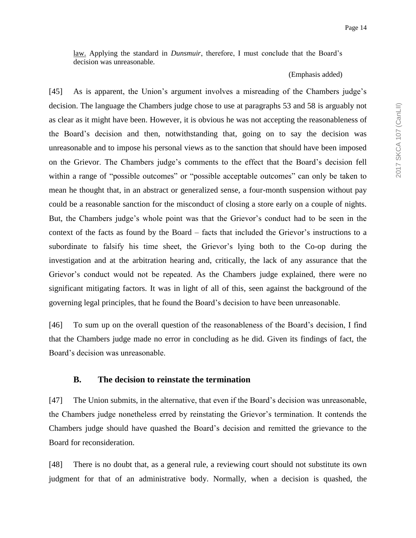law. Applying the standard in *Dunsmuir*, therefore, I must conclude that the Board's decision was unreasonable.

#### (Emphasis added)

[45] As is apparent, the Union's argument involves a misreading of the Chambers judge's decision. The language the Chambers judge chose to use at paragraphs 53 and 58 is arguably not as clear as it might have been. However, it is obvious he was not accepting the reasonableness of the Board's decision and then, notwithstanding that, going on to say the decision was unreasonable and to impose his personal views as to the sanction that should have been imposed on the Grievor. The Chambers judge's comments to the effect that the Board's decision fell within a range of "possible outcomes" or "possible acceptable outcomes" can only be taken to mean he thought that, in an abstract or generalized sense, a four-month suspension without pay could be a reasonable sanction for the misconduct of closing a store early on a couple of nights. But, the Chambers judge's whole point was that the Grievor's conduct had to be seen in the context of the facts as found by the Board – facts that included the Grievor's instructions to a subordinate to falsify his time sheet, the Grievor's lying both to the Co-op during the investigation and at the arbitration hearing and, critically, the lack of any assurance that the Grievor's conduct would not be repeated. As the Chambers judge explained, there were no significant mitigating factors. It was in light of all of this, seen against the background of the governing legal principles, that he found the Board's decision to have been unreasonable.

[46] To sum up on the overall question of the reasonableness of the Board's decision, I find that the Chambers judge made no error in concluding as he did. Given its findings of fact, the Board's decision was unreasonable.

#### **B. The decision to reinstate the termination**

[47] The Union submits, in the alternative, that even if the Board's decision was unreasonable, the Chambers judge nonetheless erred by reinstating the Grievor's termination. It contends the Chambers judge should have quashed the Board's decision and remitted the grievance to the Board for reconsideration.

[48] There is no doubt that, as a general rule, a reviewing court should not substitute its own judgment for that of an administrative body. Normally, when a decision is quashed, the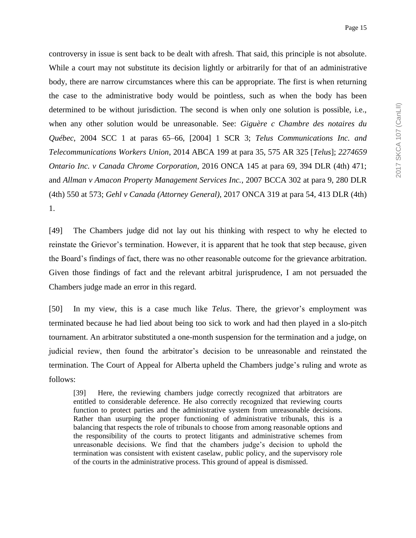controversy in issue is sent back to be dealt with afresh. That said, this principle is not absolute. While a court may not substitute its decision lightly or arbitrarily for that of an administrative body, there are narrow circumstances where this can be appropriate. The first is when returning the case to the administrative body would be pointless, such as when the body has been determined to be without jurisdiction. The second is when only one solution is possible, i.e., when any other solution would be unreasonable. See: *Giguère c Chambre des notaires du Québec*, 2004 SCC 1 at paras 65–66, [2004] 1 SCR 3; *Telus Communications Inc. and Telecommunications Workers Union*, 2014 ABCA 199 at para 35, 575 AR 325 [*Telus*]; *2274659 Ontario Inc. v Canada Chrome Corporation*, 2016 ONCA 145 at para 69, 394 DLR (4th) 471; and *Allman v Amacon Property Management Services Inc.*, 2007 BCCA 302 at para 9, 280 DLR (4th) 550 at 573; *Gehl v Canada (Attorney General)*, 2017 ONCA 319 at para 54, 413 DLR (4th) 1.

[49] The Chambers judge did not lay out his thinking with respect to why he elected to reinstate the Grievor's termination. However, it is apparent that he took that step because, given the Board's findings of fact, there was no other reasonable outcome for the grievance arbitration. Given those findings of fact and the relevant arbitral jurisprudence, I am not persuaded the Chambers judge made an error in this regard.

[50] In my view, this is a case much like *Telus*. There, the grievor's employment was terminated because he had lied about being too sick to work and had then played in a slo-pitch tournament. An arbitrator substituted a one-month suspension for the termination and a judge, on judicial review, then found the arbitrator's decision to be unreasonable and reinstated the termination. The Court of Appeal for Alberta upheld the Chambers judge's ruling and wrote as follows:

[39] Here, the reviewing chambers judge correctly recognized that arbitrators are entitled to considerable deference. He also correctly recognized that reviewing courts function to protect parties and the administrative system from unreasonable decisions. Rather than usurping the proper functioning of administrative tribunals, this is a balancing that respects the role of tribunals to choose from among reasonable options and the responsibility of the courts to protect litigants and administrative schemes from unreasonable decisions. We find that the chambers judge's decision to uphold the termination was consistent with existent caselaw, public policy, and the supervisory role of the courts in the administrative process. This ground of appeal is dismissed.